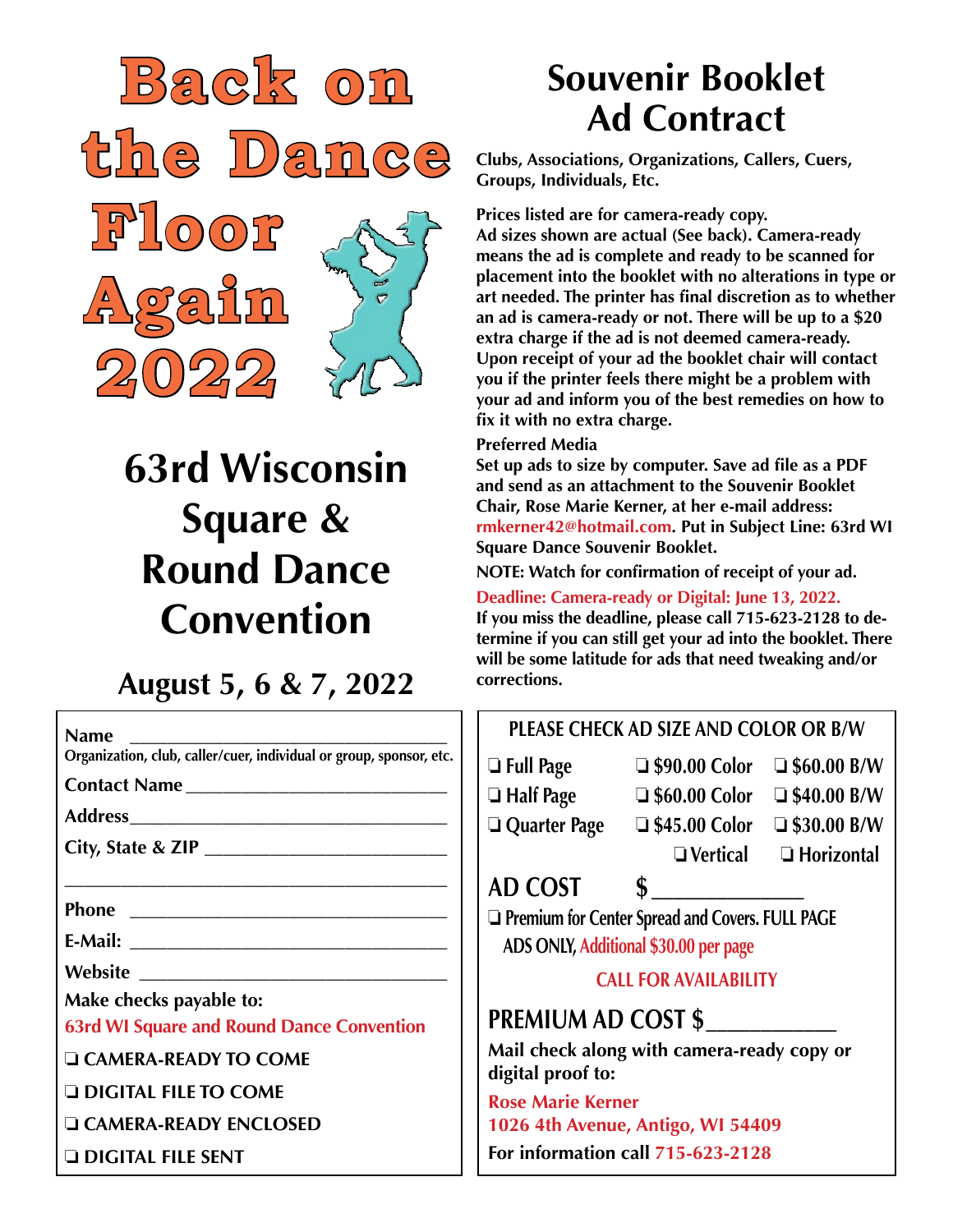

# **63rd Wisconsin Square & Round Dance Convention**

### **August 5, 6 & 7, 2022**

| <b>Name</b>                                                                         | <b>PLEASE CHECK AD SIZE AND COLOR OR B/W</b>                                                                                                                                                                                                                                              |                                                                                                     |                                   |
|-------------------------------------------------------------------------------------|-------------------------------------------------------------------------------------------------------------------------------------------------------------------------------------------------------------------------------------------------------------------------------------------|-----------------------------------------------------------------------------------------------------|-----------------------------------|
| Organization, club, caller/cuer, individual or group, sponsor, etc.<br>Contact Name | $\Box$ Full Page                                                                                                                                                                                                                                                                          | $\Box$ \$90.00 Color $\Box$ \$60.00 B/W<br>$\Box$ Half Page $\Box$ \$60.00 Color $\Box$ \$40.00 B/W |                                   |
|                                                                                     | $\Box$ Quarter Page                                                                                                                                                                                                                                                                       | $\Box$ \$45.00 Color $\Box$ \$30.00 B/W                                                             | $\Box$ Vertical $\Box$ Horizontal |
|                                                                                     | AD COST                                                                                                                                                                                                                                                                                   | $\sim$                                                                                              |                                   |
|                                                                                     | Premium for Center Spread and Covers. FULL PAGE<br>ADS ONLY, Additional \$30.00 per page<br><b>CALL FOR AVAILABILITY</b><br><b>PREMIUM AD COST \$</b><br>Mail check along with camera-ready copy or<br>digital proof to:<br><b>Rose Marie Kerner</b><br>1026 4th Avenue, Antigo, WI 54409 |                                                                                                     |                                   |
| Make checks payable to:                                                             |                                                                                                                                                                                                                                                                                           |                                                                                                     |                                   |
| <b>63rd WI Square and Round Dance Convention</b>                                    |                                                                                                                                                                                                                                                                                           |                                                                                                     |                                   |
| <b>LE CAMERA-READY TO COME</b><br><b>Q DIGITAL FILE TO COME</b>                     |                                                                                                                                                                                                                                                                                           |                                                                                                     |                                   |
| <b>LE CAMERA-READY ENCLOSED</b>                                                     |                                                                                                                                                                                                                                                                                           |                                                                                                     |                                   |
| <b>DIGITAL FILE SENT</b>                                                            | For information call 715-623-2128                                                                                                                                                                                                                                                         |                                                                                                     |                                   |

## **Souvenir Booklet Ad Contract**

**Clubs, Associations, Organizations, Callers, Cuers, Groups, Individuals, Etc.**

**Prices listed are for camera-ready copy.**

**Ad sizes shown are actual (See back). Camera-ready means the ad is complete and ready to be scanned for placement into the booklet with no alterations in type or art needed. The printer has final discretion as to whether an ad is camera-ready or not. There will be up to a \$20 extra charge if the ad is not deemed camera-ready. Upon receipt of your ad the booklet chair will contact you if the printer feels there might be a problem with your ad and inform you of the best remedies on how to fix it with no extra charge.**

#### **Preferred Media**

**Set up ads to size by computer. Save ad file as a PDF and send as an attachment to the Souvenir Booklet Chair, Rose Marie Kerner, at her e-mail address: rmkerner42@hotmail.com. Put in Subject Line: 63rd WI Square Dance Souvenir Booklet.**

**NOTE: Watch for confirmation of receipt of your ad.**

**Deadline: Camera-ready or Digital: June 13, 2022.**

**If you miss the deadline, please call 715-623-2128 to determine if you can still get your ad into the booklet. There will be some latitude for ads that need tweaking and/or corrections.**

### **PLEASE CHECK AD SIZE AND COLOR OR B/W**